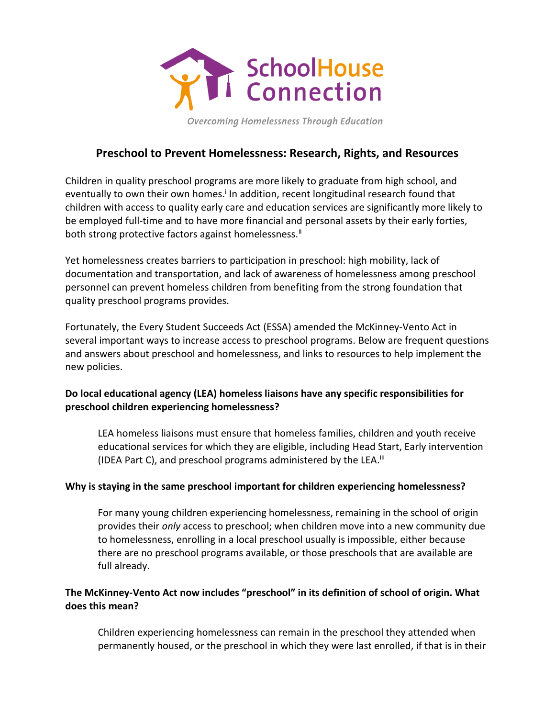

Overcoming Homelessness Through Education

# **Preschool to Prevent Homelessness: Research, Rights, and Resources**

Children in quality preschool programs are more likely to graduate from high school, and eventually to own their own homes.<sup>i</sup> In addition, recent longitudinal research found that children with access to quality early care and education services are significantly more likely to be employed full-time and to have more financial and personal assets by their early forties, both strong protective factors against homelessness.<sup>ii</sup>

Yet homelessness creates barriers to participation in preschool: high mobility, lack of documentation and transportation, and lack of awareness of homelessness among preschool personnel can prevent homeless children from benefiting from the strong foundation that quality preschool programs provides.

Fortunately, the Every Student Succeeds Act (ESSA) amended the McKinney-Vento Act in several important ways to increase access to preschool programs. Below are frequent questions and answers about preschool and homelessness, and links to resources to help implement the new policies.

## **Do local educational agency (LEA) homeless liaisons have any specific responsibilities for preschool children experiencing homelessness?**

LEA homeless liaisons must ensure that homeless families, children and youth receive educational services for which they are eligible, including Head Start, Early intervention (IDEA Part C), and preschool programs administered by the LEA.<sup>iii</sup>

#### **Why is staying in the same preschool important for children experiencing homelessness?**

For many young children experiencing homelessness, remaining in the school of origin provides their *only* access to preschool; when children move into a new community due to homelessness, enrolling in a local preschool usually is impossible, either because there are no preschool programs available, or those preschools that are available are full already.

## **The McKinney-Vento Act now includes "preschool" in its definition of school of origin. What does this mean?**

Children experiencing homelessness can remain in the preschool they attended when permanently housed, or the preschool in which they were last enrolled, if that is in their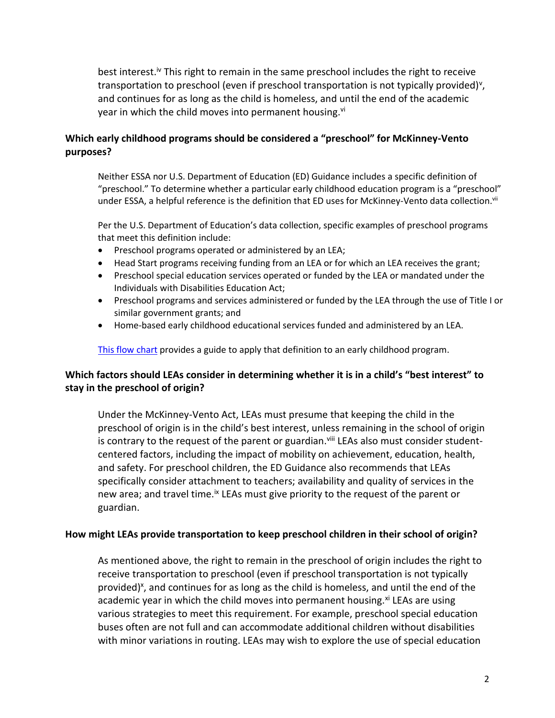best interest.<sup>iv</sup> This right to remain in the same preschool includes the right to receive transportation to preschool (even if preschool transportation is not typically provided)<sup>v</sup>, and continues for as long as the child is homeless, and until the end of the academic year in which the child moves into permanent housing.<sup>vi</sup>

#### **Which early childhood programs should be considered a "preschool" for McKinney-Vento purposes?**

Neither ESSA nor U.S. Department of Education (ED) Guidance includes a specific definition of "preschool." To determine whether a particular early childhood education program is a "preschool" under ESSA, a helpful reference is the definition that ED uses for McKinney-Vento data collection.<sup>vii</sup>

Per the U.S. Department of Education's data collection, specific examples of preschool programs that meet this definition include:

- Preschool programs operated or administered by an LEA;
- Head Start programs receiving funding from an LEA or for which an LEA receives the grant;
- Preschool special education services operated or funded by the LEA or mandated under the Individuals with Disabilities Education Act;
- Preschool programs and services administered or funded by the LEA through the use of Title I or similar government grants; and
- Home-based early childhood educational services funded and administered by an LEA.

[This flow chart](https://www.schoolhouseconnection.org/wp-content/uploads/2017/09/PreschoolFlowchart.pdf) provides a guide to apply that definition to an early childhood program.

## **Which factors should LEAs consider in determining whether it is in a child's "best interest" to stay in the preschool of origin?**

Under the McKinney-Vento Act, LEAs must presume that keeping the child in the preschool of origin is in the child's best interest, unless remaining in the school of origin is contrary to the request of the parent or guardian.<sup>viii</sup> LEAs also must consider studentcentered factors, including the impact of mobility on achievement, education, health, and safety. For preschool children, the ED Guidance also recommends that LEAs specifically consider attachment to teachers; availability and quality of services in the new area; and travel time.<sup>ix</sup> LEAs must give priority to the request of the parent or guardian.

#### **How might LEAs provide transportation to keep preschool children in their school of origin?**

As mentioned above, the right to remain in the preschool of origin includes the right to receive transportation to preschool (even if preschool transportation is not typically provided)<sup>x</sup>, and continues for as long as the child is homeless, and until the end of the academic year in which the child moves into permanent housing. $x_i$  LEAs are using various strategies to meet this requirement. For example, preschool special education buses often are not full and can accommodate additional children without disabilities with minor variations in routing. LEAs may wish to explore the use of special education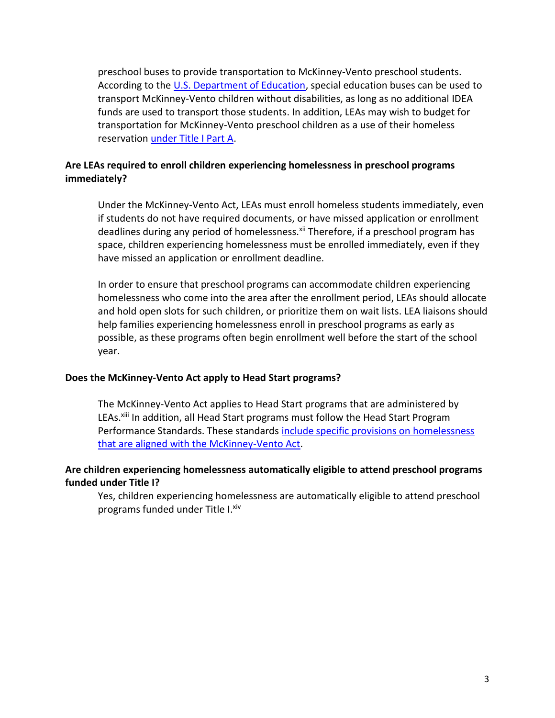preschool buses to provide transportation to McKinney-Vento preschool students. According to the [U.S. Department of Education,](https://www.schoolhouseconnection.org/wp-content/uploads/2017/09/OSEP-letter-5-Aug-13.pdf) special education buses can be used to transport McKinney-Vento children without disabilities, as long as no additional IDEA funds are used to transport those students. In addition, LEAs may wish to budget for transportation for McKinney-Vento preschool children as a use of their homeless reservation [under Title I Part A.](https://www.schoolhouseconnection.org/wp-content/uploads/2017/05/TitleIPartA.pdf)

## **Are LEAs required to enroll children experiencing homelessness in preschool programs immediately?**

Under the McKinney-Vento Act, LEAs must enroll homeless students immediately, even if students do not have required documents, or have missed application or enrollment deadlines during any period of homelessness.<sup>xii</sup> Therefore, if a preschool program has space, children experiencing homelessness must be enrolled immediately, even if they have missed an application or enrollment deadline.

In order to ensure that preschool programs can accommodate children experiencing homelessness who come into the area after the enrollment period, LEAs should allocate and hold open slots for such children, or prioritize them on wait lists. LEA liaisons should help families experiencing homelessness enroll in preschool programs as early as possible, as these programs often begin enrollment well before the start of the school year.

#### **Does the McKinney-Vento Act apply to Head Start programs?**

The McKinney-Vento Act applies to Head Start programs that are administered by LEAs.<sup>xiii</sup> In addition, all Head Start programs must follow the Head Start Program Performance Standards. These standards [include specific provisions on homelessness](https://www.schoolhouseconnection.org/wp-content/uploads/2016/12/HeadStartRegsJAN25.pdf)  [that are aligned with the McKinney-Vento Act.](https://www.schoolhouseconnection.org/wp-content/uploads/2016/12/HeadStartRegsJAN25.pdf)

## **Are children experiencing homelessness automatically eligible to attend preschool programs funded under Title I?**

Yes, children experiencing homelessness are automatically eligible to attend preschool programs funded under Title I. xiv